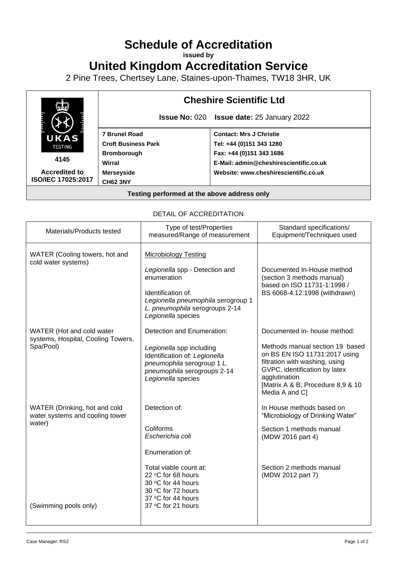# **Schedule of Accreditation**

**issued by**

# **United Kingdom Accreditation Service**

2 Pine Trees, Chertsey Lane, Staines-upon-Thames, TW18 3HR, UK



| Materials/Products tested                                                                           | Type of test/Properties<br>measured/Range of measurement                                                                                                                                                  | Standard specifications/<br>Equipment/Techniques used                                                                                                                                                                                       |  |
|-----------------------------------------------------------------------------------------------------|-----------------------------------------------------------------------------------------------------------------------------------------------------------------------------------------------------------|---------------------------------------------------------------------------------------------------------------------------------------------------------------------------------------------------------------------------------------------|--|
| WATER (Cooling towers, hot and<br>cold water systems)                                               | <b>Microbiology Testing</b><br>Legionella spp - Detection and<br>enumeration<br>Identification of:<br>Legionella pneumophila serogroup 1<br>L. pneumophila serogroups 2-14<br>Legionella species          | Documented In-House method<br>(section 3 methods manual)<br>based on ISO 11731-1:1998 /<br>BS 6068-4.12:1998 (withdrawn)                                                                                                                    |  |
| WATER (Hot and cold water<br>systems, Hospital, Cooling Towers,<br>Spa/Pool)                        | Detection and Enumeration:<br>Legionella spp including<br>Identification of: Legionella<br>pneumophila serogroup 1 L.<br>pneumophila serogroups 2-14<br>Legionella species                                | Documented in- house method:<br>Methods manual section 19 based<br>on BS EN ISO 11731:2017 using<br>filtration with washing, using<br>GVPC, identification by latex<br>agglutination<br>[Matrix A & B; Procedure 8,9 & 10<br>Media A and C] |  |
| WATER (Drinking, hot and cold<br>water systems and cooling tower<br>water)<br>(Swimming pools only) | Detection of:<br>Coliforms<br>Escherichia coli<br>Enumeration of:<br>Total viable count at:<br>22 °C for 68 hours<br>30 °C for 44 hours<br>30 °C for 72 hours<br>37 °C for 44 hours<br>37 °C for 21 hours | In House methods based on<br>"Microbiology of Drinking Water"<br>Section 1 methods manual<br>(MDW 2016 part 4)<br>Section 2 methods manual<br>(MDW 2012 part 7)                                                                             |  |

#### DETAIL OF ACCREDITATION